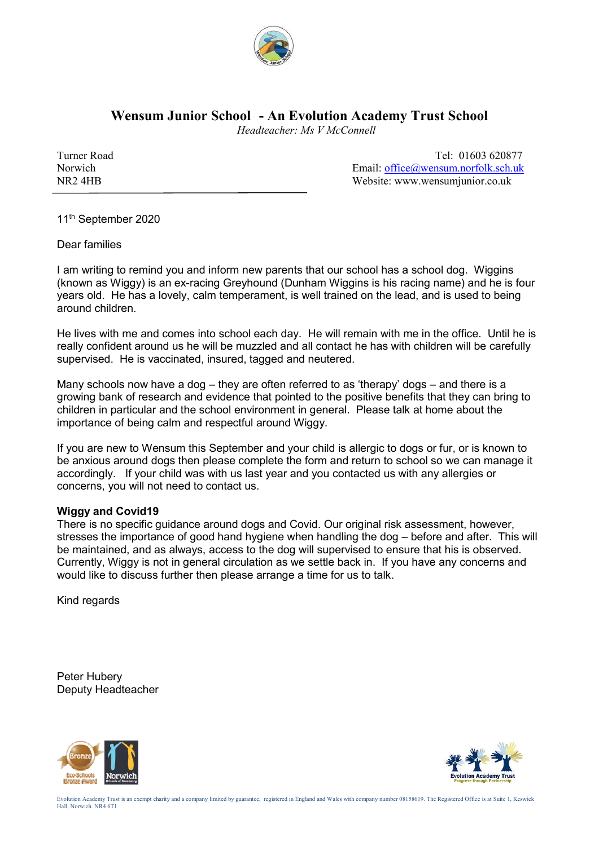

## **Wensum Junior School - An Evolution Academy Trust School**

 *Headteacher: Ms V McConnell*

Turner Road Tel: 01603 620877 Norwich Email: office@wensum.norfolk.sch.uk NR2 4HB Website: www.wensumjunior.co.uk

11<sup>th</sup> September 2020

Dear families

I am writing to remind you and inform new parents that our school has a school dog. Wiggins (known as Wiggy) is an ex-racing Greyhound (Dunham Wiggins is his racing name) and he is four years old. He has a lovely, calm temperament, is well trained on the lead, and is used to being around children.

He lives with me and comes into school each day. He will remain with me in the office. Until he is really confident around us he will be muzzled and all contact he has with children will be carefully supervised. He is vaccinated, insured, tagged and neutered.

Many schools now have a dog – they are often referred to as 'therapy' dogs – and there is a growing bank of research and evidence that pointed to the positive benefits that they can bring to children in particular and the school environment in general. Please talk at home about the importance of being calm and respectful around Wiggy.

If you are new to Wensum this September and your child is allergic to dogs or fur, or is known to be anxious around dogs then please complete the form and return to school so we can manage it accordingly. If your child was with us last year and you contacted us with any allergies or concerns, you will not need to contact us.

## **Wiggy and Covid19**

There is no specific guidance around dogs and Covid. Our original risk assessment, however, stresses the importance of good hand hygiene when handling the dog – before and after. This will be maintained, and as always, access to the dog will supervised to ensure that his is observed. Currently, Wiggy is not in general circulation as we settle back in. If you have any concerns and would like to discuss further then please arrange a time for us to talk.

Kind regards

Peter Hubery Deputy Headteacher